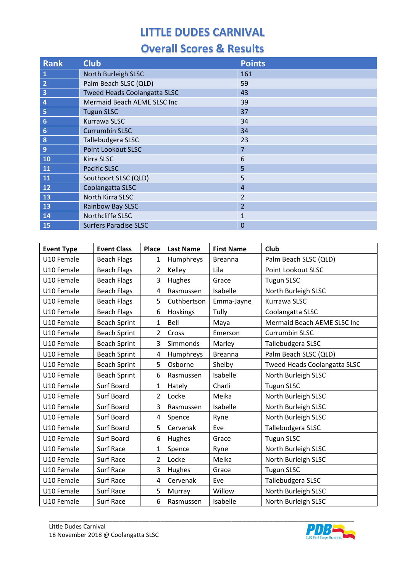| <b>Rank</b>             | <b>Club</b>                         | <b>Points</b>  |  |  |
|-------------------------|-------------------------------------|----------------|--|--|
| $\mathbf{1}$            | North Burleigh SLSC                 | 161            |  |  |
| $\overline{2}$          | Palm Beach SLSC (QLD)               | 59             |  |  |
| $\overline{\mathbf{3}}$ | <b>Tweed Heads Coolangatta SLSC</b> | 43             |  |  |
| $\overline{a}$          | Mermaid Beach AEME SLSC Inc         | 39             |  |  |
| 5                       | <b>Tugun SLSC</b>                   | 37             |  |  |
| $6\phantom{1}$          | Kurrawa SLSC                        | 34             |  |  |
| $\overline{6}$          | <b>Currumbin SLSC</b>               | 34             |  |  |
| $\boldsymbol{8}$        | Tallebudgera SLSC                   | 23             |  |  |
| $\overline{9}$          | <b>Point Lookout SLSC</b>           | $\overline{7}$ |  |  |
| 10                      | Kirra SLSC                          | 6              |  |  |
| 11                      | <b>Pacific SLSC</b>                 | 5              |  |  |
| 11                      | Southport SLSC (QLD)                | 5              |  |  |
| 12                      | Coolangatta SLSC                    | $\overline{4}$ |  |  |
| 13                      | North Kirra SLSC                    | $\overline{2}$ |  |  |
| 13                      | Rainbow Bay SLSC                    | $\overline{2}$ |  |  |
| 14                      | Northcliffe SLSC                    | 1              |  |  |
| 15                      | <b>Surfers Paradise SLSC</b>        | 0              |  |  |

| <b>Event Type</b> | <b>Event Class</b>  | <b>Place</b>   | <b>Last Name</b> | <b>First Name</b> | <b>Club</b>                         |
|-------------------|---------------------|----------------|------------------|-------------------|-------------------------------------|
| U10 Female        | <b>Beach Flags</b>  | 1              | Humphreys        | <b>Breanna</b>    | Palm Beach SLSC (QLD)               |
| U10 Female        | <b>Beach Flags</b>  | $\overline{2}$ | Kelley           | Lila              | Point Lookout SLSC                  |
| U10 Female        | <b>Beach Flags</b>  | 3              | Hughes           | Grace             | <b>Tugun SLSC</b>                   |
| U10 Female        | <b>Beach Flags</b>  | 4              | Rasmussen        | Isabelle          | North Burleigh SLSC                 |
| U10 Female        | <b>Beach Flags</b>  | 5              | Cuthbertson      | Emma-Jayne        | Kurrawa SLSC                        |
| U10 Female        | <b>Beach Flags</b>  | 6              | Hoskings         | Tully             | Coolangatta SLSC                    |
| U10 Female        | <b>Beach Sprint</b> | $\mathbf{1}$   | Bell             | Maya              | Mermaid Beach AEME SLSC Inc         |
| U10 Female        | <b>Beach Sprint</b> | $\overline{2}$ | Cross            | Emerson           | <b>Currumbin SLSC</b>               |
| U10 Female        | <b>Beach Sprint</b> | $\overline{3}$ | Simmonds         | Marley            | Tallebudgera SLSC                   |
| U10 Female        | <b>Beach Sprint</b> | 4              | Humphreys        | <b>Breanna</b>    | Palm Beach SLSC (QLD)               |
| U10 Female        | <b>Beach Sprint</b> | 5              | Osborne          | Shelby            | <b>Tweed Heads Coolangatta SLSC</b> |
| U10 Female        | <b>Beach Sprint</b> | 6              | Rasmussen        | Isabelle          | North Burleigh SLSC                 |
| U10 Female        | Surf Board          | 1              | Hately           | Charli            | <b>Tugun SLSC</b>                   |
| U10 Female        | Surf Board          | 2              | Locke            | Meika             | North Burleigh SLSC                 |
| U10 Female        | Surf Board          | 3              | Rasmussen        | Isabelle          | North Burleigh SLSC                 |
| U10 Female        | Surf Board          | 4              | Spence           | Ryne              | North Burleigh SLSC                 |
| U10 Female        | Surf Board          | 5              | Cervenak         | Eve               | Tallebudgera SLSC                   |
| U10 Female        | Surf Board          | 6              | Hughes           | Grace             | <b>Tugun SLSC</b>                   |
| U10 Female        | <b>Surf Race</b>    | 1              | Spence           | Ryne              | North Burleigh SLSC                 |
| U10 Female        | <b>Surf Race</b>    | $\overline{2}$ | Locke            | Meika             | North Burleigh SLSC                 |
| U10 Female        | <b>Surf Race</b>    | 3              | Hughes           | Grace             | <b>Tugun SLSC</b>                   |
| U10 Female        | Surf Race           | 4              | Cervenak         | Eve               | Tallebudgera SLSC                   |
| U10 Female        | Surf Race           | 5              | Murray           | Willow            | North Burleigh SLSC                 |
| U10 Female        | <b>Surf Race</b>    | 6              | Rasmussen        | Isabelle          | North Burleigh SLSC                 |

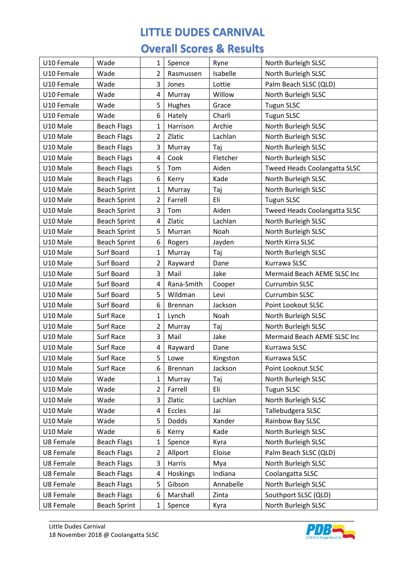| U10 Female | Wade                | 1              | Spence         | Ryne      | North Burleigh SLSC          |
|------------|---------------------|----------------|----------------|-----------|------------------------------|
| U10 Female | Wade                | 2              | Rasmussen      | Isabelle  | North Burleigh SLSC          |
| U10 Female | Wade                | 3              | Jones          | Lottie    | Palm Beach SLSC (QLD)        |
| U10 Female | Wade                | 4              | Murray         | Willow    | North Burleigh SLSC          |
| U10 Female | Wade                | 5              | Hughes         | Grace     | <b>Tugun SLSC</b>            |
| U10 Female | Wade                | 6              | Hately         | Charli    | <b>Tugun SLSC</b>            |
| U10 Male   | <b>Beach Flags</b>  | $\mathbf{1}$   | Harrison       | Archie    | North Burleigh SLSC          |
| U10 Male   | <b>Beach Flags</b>  | $\overline{2}$ | Zlatic         | Lachlan   | North Burleigh SLSC          |
| U10 Male   | <b>Beach Flags</b>  | 3              | Murray         | Taj       | North Burleigh SLSC          |
| U10 Male   | <b>Beach Flags</b>  | 4              | Cook           | Fletcher  | North Burleigh SLSC          |
| U10 Male   | <b>Beach Flags</b>  | 5              | Tom            | Aiden     | Tweed Heads Coolangatta SLSC |
| U10 Male   | <b>Beach Flags</b>  | 6              | Kerry          | Kade      | North Burleigh SLSC          |
| U10 Male   | <b>Beach Sprint</b> | $\mathbf{1}$   | Murray         | Taj       | North Burleigh SLSC          |
| U10 Male   | <b>Beach Sprint</b> | $\overline{2}$ | Farrell        | Eli       | <b>Tugun SLSC</b>            |
| U10 Male   | <b>Beach Sprint</b> | 3              | Tom            | Aiden     | Tweed Heads Coolangatta SLSC |
| U10 Male   | <b>Beach Sprint</b> | 4              | Zlatic         | Lachlan   | North Burleigh SLSC          |
| U10 Male   | <b>Beach Sprint</b> | 5              | Murran         | Noah      | North Burleigh SLSC          |
| U10 Male   | <b>Beach Sprint</b> | 6              | Rogers         | Jayden    | North Kirra SLSC             |
| U10 Male   | Surf Board          | $\mathbf{1}$   | Murray         | Taj       | North Burleigh SLSC          |
| U10 Male   | Surf Board          | $\overline{2}$ | Rayward        | Dane      | Kurrawa SLSC                 |
| U10 Male   | Surf Board          | 3              | Mail           | Jake      | Mermaid Beach AEME SLSC Inc  |
| U10 Male   | Surf Board          | 4              | Rana-Smith     | Cooper    | Currumbin SLSC               |
| U10 Male   | Surf Board          | 5              | Wildman        | Levi      | Currumbin SLSC               |
| U10 Male   | Surf Board          | 6              | <b>Brennan</b> | Jackson   | Point Lookout SLSC           |
| U10 Male   | Surf Race           | 1              | Lynch          | Noah      | North Burleigh SLSC          |
| U10 Male   | Surf Race           | $\overline{2}$ | Murray         | Taj       | North Burleigh SLSC          |
| U10 Male   | <b>Surf Race</b>    | 3              | Mail           | Jake      | Mermaid Beach AEME SLSC Inc  |
| U10 Male   | Surf Race           | 4              | Rayward        | Dane      | Kurrawa SLSC                 |
| U10 Male   | Surf Race           | 5              | Lowe           | Kingston  | Kurrawa SLSC                 |
| U10 Male   | Surf Race           | 6              | <b>Brennan</b> | Jackson   | Point Lookout SLSC           |
| U10 Male   | Wade                | 1              | Murray         | Taj       | North Burleigh SLSC          |
| U10 Male   | Wade                | $\overline{2}$ | Farrell        | Eli       | <b>Tugun SLSC</b>            |
| U10 Male   | Wade                | 3              | Zlatic         | Lachlan   | North Burleigh SLSC          |
| U10 Male   | Wade                | 4              | Eccles         | Jai       | Tallebudgera SLSC            |
| U10 Male   | Wade                | 5              | Dodds          | Xander    | Rainbow Bay SLSC             |
| U10 Male   | Wade                | 6              | Kerry          | Kade      | North Burleigh SLSC          |
| U8 Female  | <b>Beach Flags</b>  | 1              | Spence         | Kyra      | North Burleigh SLSC          |
| U8 Female  | <b>Beach Flags</b>  | $\overline{2}$ | Allport        | Eloise    | Palm Beach SLSC (QLD)        |
| U8 Female  | <b>Beach Flags</b>  | 3              | Harris         | Mya       | North Burleigh SLSC          |
| U8 Female  | <b>Beach Flags</b>  | 4              | Hoskings       | Indiana   | Coolangatta SLSC             |
| U8 Female  | <b>Beach Flags</b>  | 5              | Gibson         | Annabelle | North Burleigh SLSC          |
| U8 Female  | <b>Beach Flags</b>  | 6              | Marshall       | Zinta     | Southport SLSC (QLD)         |
| U8 Female  | <b>Beach Sprint</b> | 1              | Spence         | Kyra      | North Burleigh SLSC          |

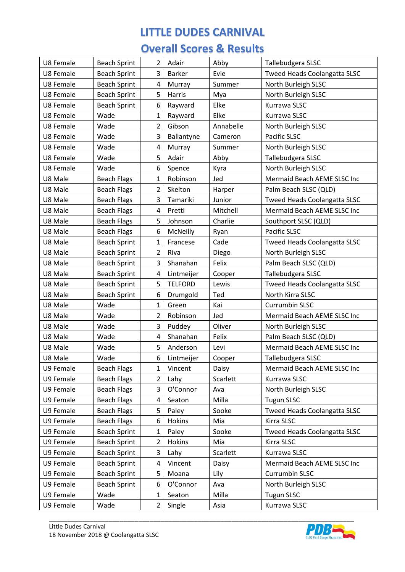| U8 Female | <b>Beach Sprint</b> | 2              | Adair          | Abby      | Tallebudgera SLSC            |
|-----------|---------------------|----------------|----------------|-----------|------------------------------|
| U8 Female | <b>Beach Sprint</b> | 3              | <b>Barker</b>  | Evie      | Tweed Heads Coolangatta SLSC |
| U8 Female | <b>Beach Sprint</b> | 4              | Murray         | Summer    | North Burleigh SLSC          |
| U8 Female | <b>Beach Sprint</b> | 5              | Harris         | Mya       | North Burleigh SLSC          |
| U8 Female | <b>Beach Sprint</b> | 6              | Rayward        | Elke      | Kurrawa SLSC                 |
| U8 Female | Wade                | $\mathbf{1}$   | Rayward        | Elke      | Kurrawa SLSC                 |
| U8 Female | Wade                | 2              | Gibson         | Annabelle | North Burleigh SLSC          |
| U8 Female | Wade                | 3              | Ballantyne     | Cameron   | Pacific SLSC                 |
| U8 Female | Wade                | 4              | Murray         | Summer    | North Burleigh SLSC          |
| U8 Female | Wade                | 5              | Adair          | Abby      | Tallebudgera SLSC            |
| U8 Female | Wade                | 6              | Spence         | Kyra      | North Burleigh SLSC          |
| U8 Male   | <b>Beach Flags</b>  | 1              | Robinson       | Jed       | Mermaid Beach AEME SLSC Inc  |
| U8 Male   | <b>Beach Flags</b>  | 2              | Skelton        | Harper    | Palm Beach SLSC (QLD)        |
| U8 Male   | <b>Beach Flags</b>  | 3              | Tamariki       | Junior    | Tweed Heads Coolangatta SLSC |
| U8 Male   | <b>Beach Flags</b>  | 4              | Pretti         | Mitchell  | Mermaid Beach AEME SLSC Inc  |
| U8 Male   | <b>Beach Flags</b>  | 5              | Johnson        | Charlie   | Southport SLSC (QLD)         |
| U8 Male   | <b>Beach Flags</b>  | 6              | McNeilly       | Ryan      | Pacific SLSC                 |
| U8 Male   | <b>Beach Sprint</b> | 1              | Francese       | Cade      | Tweed Heads Coolangatta SLSC |
| U8 Male   | <b>Beach Sprint</b> | $\overline{2}$ | Riva           | Diego     | North Burleigh SLSC          |
| U8 Male   | <b>Beach Sprint</b> | 3              | Shanahan       | Felix     | Palm Beach SLSC (QLD)        |
| U8 Male   | <b>Beach Sprint</b> | 4              | Lintmeijer     | Cooper    | Tallebudgera SLSC            |
| U8 Male   | <b>Beach Sprint</b> | 5              | <b>TELFORD</b> | Lewis     | Tweed Heads Coolangatta SLSC |
| U8 Male   | <b>Beach Sprint</b> | 6              | Drumgold       | Ted       | North Kirra SLSC             |
| U8 Male   | Wade                | 1              | Green          | Kai       | <b>Currumbin SLSC</b>        |
| U8 Male   | Wade                | 2              | Robinson       | Jed       | Mermaid Beach AEME SLSC Inc  |
| U8 Male   | Wade                | 3              | Puddey         | Oliver    | North Burleigh SLSC          |
| U8 Male   | Wade                | 4              | Shanahan       | Felix     | Palm Beach SLSC (QLD)        |
| U8 Male   | Wade                | 5              | Anderson       | Levi      | Mermaid Beach AEME SLSC Inc  |
| U8 Male   | Wade                | 6              | Lintmeijer     | Cooper    | Tallebudgera SLSC            |
| U9 Female | <b>Beach Flags</b>  | 1              | Vincent        | Daisy     | Mermaid Beach AEME SLSC Inc  |
| U9 Female | <b>Beach Flags</b>  | 2              | Lahy           | Scarlett  | Kurrawa SLSC                 |
| U9 Female | <b>Beach Flags</b>  | 3              | O'Connor       | Ava       | North Burleigh SLSC          |
| U9 Female | <b>Beach Flags</b>  | 4              | Seaton         | Milla     | <b>Tugun SLSC</b>            |
| U9 Female | <b>Beach Flags</b>  | 5              | Paley          | Sooke     | Tweed Heads Coolangatta SLSC |
| U9 Female | <b>Beach Flags</b>  | 6              | Hokins         | Mia       | Kirra SLSC                   |
| U9 Female | <b>Beach Sprint</b> | $\mathbf{1}$   | Paley          | Sooke     | Tweed Heads Coolangatta SLSC |
| U9 Female | <b>Beach Sprint</b> | 2              | Hokins         | Mia       | Kirra SLSC                   |
| U9 Female | <b>Beach Sprint</b> | 3              | Lahy           | Scarlett  | Kurrawa SLSC                 |
| U9 Female | <b>Beach Sprint</b> | 4              | Vincent        | Daisy     | Mermaid Beach AEME SLSC Inc  |
| U9 Female | <b>Beach Sprint</b> | 5              | Moana          | Lily      | Currumbin SLSC               |
| U9 Female | <b>Beach Sprint</b> | 6              | O'Connor       | Ava       | North Burleigh SLSC          |
| U9 Female | Wade                | 1              | Seaton         | Milla     | <b>Tugun SLSC</b>            |
| U9 Female | Wade                | $\overline{2}$ | Single         | Asia      | Kurrawa SLSC                 |